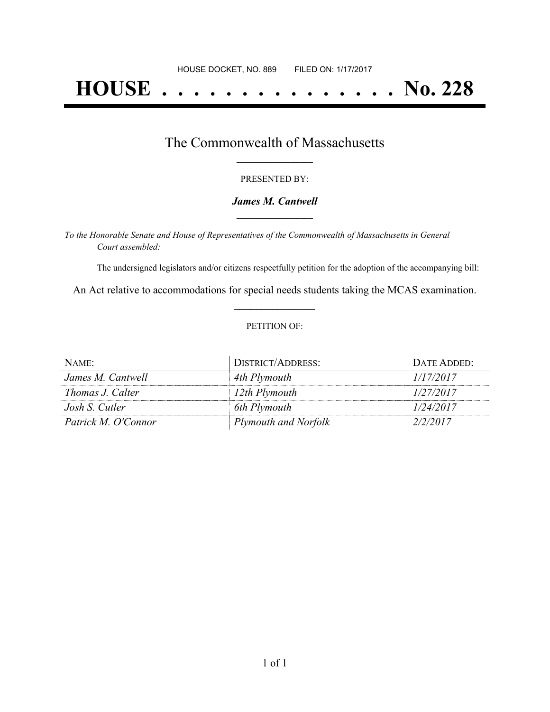# **HOUSE . . . . . . . . . . . . . . . No. 228**

## The Commonwealth of Massachusetts **\_\_\_\_\_\_\_\_\_\_\_\_\_\_\_\_\_**

#### PRESENTED BY:

#### *James M. Cantwell* **\_\_\_\_\_\_\_\_\_\_\_\_\_\_\_\_\_**

*To the Honorable Senate and House of Representatives of the Commonwealth of Massachusetts in General Court assembled:*

The undersigned legislators and/or citizens respectfully petition for the adoption of the accompanying bill:

An Act relative to accommodations for special needs students taking the MCAS examination. **\_\_\_\_\_\_\_\_\_\_\_\_\_\_\_**

#### PETITION OF:

| NAME:               | DISTRICT/ADDRESS:           | DATE ADDED: |
|---------------------|-----------------------------|-------------|
| James M. Cantwell   | 4th Plymouth                | 1/17/2017   |
| Thomas J. Calter    | 12th Plymouth               | 1/27/2017   |
| Josh S. Cutler      | 6th Plymouth                | 1/24/2017   |
| Patrick M. O'Connor | <b>Plymouth and Norfolk</b> | 2/2/2017    |